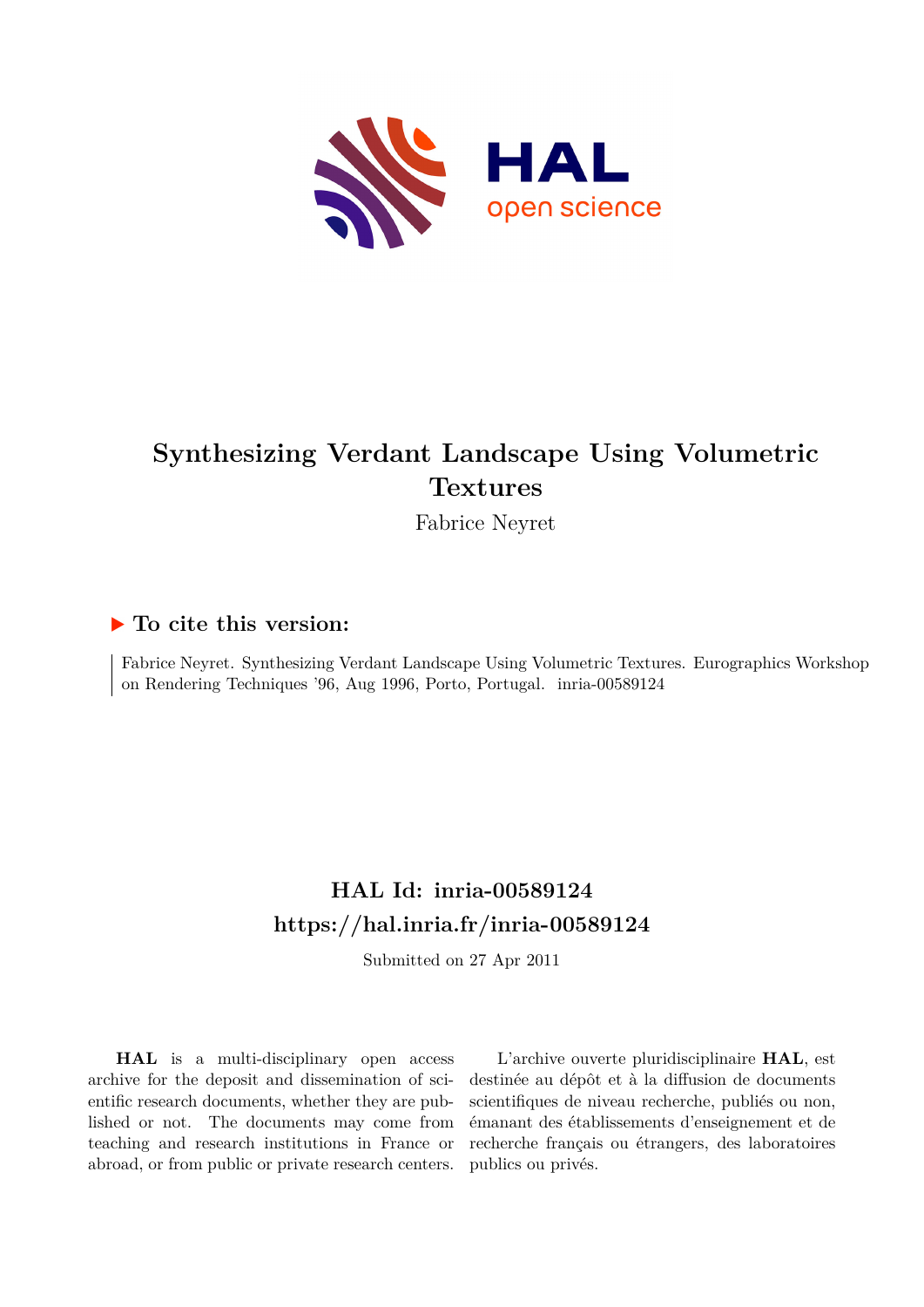

# **Synthesizing Verdant Landscape Using Volumetric Textures**

Fabrice Neyret

# **To cite this version:**

Fabrice Neyret. Synthesizing Verdant Landscape Using Volumetric Textures. Eurographics Workshop on Rendering Techniques '96, Aug 1996, Porto, Portugal. inria-00589124

# **HAL Id: inria-00589124 <https://hal.inria.fr/inria-00589124>**

Submitted on 27 Apr 2011

**HAL** is a multi-disciplinary open access archive for the deposit and dissemination of scientific research documents, whether they are published or not. The documents may come from teaching and research institutions in France or abroad, or from public or private research centers.

L'archive ouverte pluridisciplinaire **HAL**, est destinée au dépôt et à la diffusion de documents scientifiques de niveau recherche, publiés ou non, émanant des établissements d'enseignement et de recherche français ou étrangers, des laboratoires publics ou privés.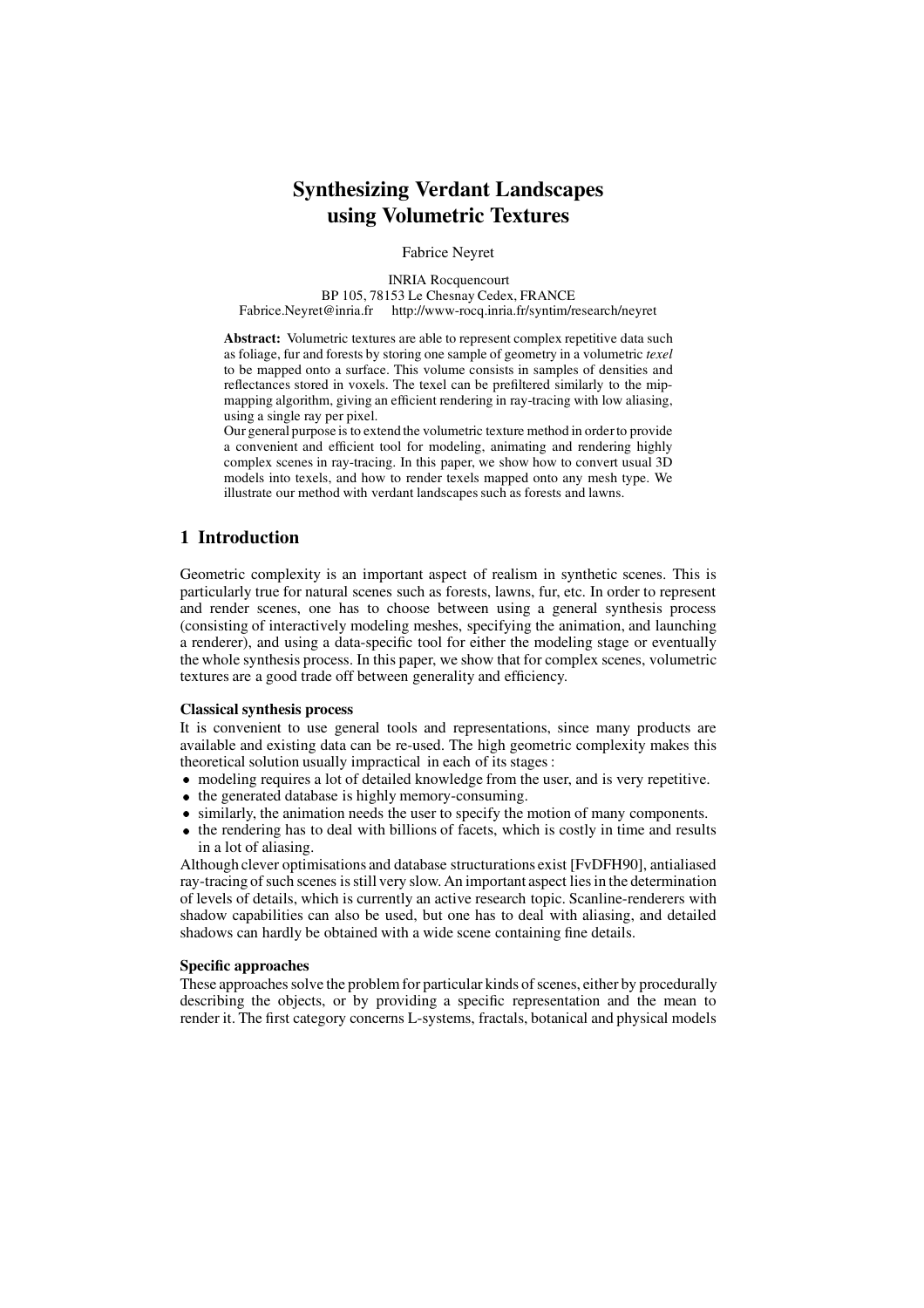# **Synthesizing Verdant Landscapes using Volumetric Textures**

#### Fabrice Neyret

INRIA Rocquencourt BP 105, 78153 Le Chesnay Cedex, FRANCE Fabrice.Neyret@inria.fr http://www-rocq.inria.fr/syntim/research/neyret

**Abstract:** Volumetric textures are able to represent complex repetitive data such as foliage, fur and forests by storing one sample of geometry in a volumetric *texel* to be mapped onto a surface. This volume consists in samples of densities and reflectances stored in voxels. The texel can be prefiltered similarly to the mipmapping algorithm, giving an efficient rendering in ray-tracing with low aliasing, using a single ray per pixel.

Our general purpose is to extend the volumetric texture method in order to provide a convenient and efficient tool for modeling, animating and rendering highly complex scenes in ray-tracing. In this paper, we show how to convert usual 3D models into texels, and how to render texels mapped onto any mesh type. We illustrate our method with verdant landscapes such as forests and lawns.

# **1 Introduction**

Geometric complexity is an important aspect of realism in synthetic scenes. This is particularly true for natural scenes such as forests, lawns, fur, etc. In order to represent and render scenes, one has to choose between using a general synthesis process (consisting of interactively modeling meshes, specifying the animation, and launching a renderer), and using a data-specific tool for either the modeling stage or eventually the whole synthesis process. In this paper, we show that for complex scenes, volumetric textures are a good trade off between generality and efficiency.

#### **Classical synthesis process**

It is convenient to use general tools and representations, since many products are available and existing data can be re-used. The high geometric complexity makes this theoretical solution usually impractical in each of its stages :

- modeling requires a lot of detailed knowledge from the user, and is very repetitive.
- the generated database is highly memory-consuming.
- similarly, the animation needs the user to specify the motion of many components.
- the rendering has to deal with billions of facets, which is costly in time and results in a lot of aliasing.

Although clever optimisations and database structurations exist [FvDFH90], antialiased ray-tracing ofsuch scenes isstill very slow. An important aspect liesin the determination of levels of details, which is currently an active research topic. Scanline-renderers with shadow capabilities can also be used, but one has to deal with aliasing, and detailed shadows can hardly be obtained with a wide scene containing fine details.

#### **Specific approaches**

These approaches solve the problem for particular kinds of scenes, either by procedurally describing the objects, or by providing a specific representation and the mean to render it. The first category concerns L-systems, fractals, botanical and physical models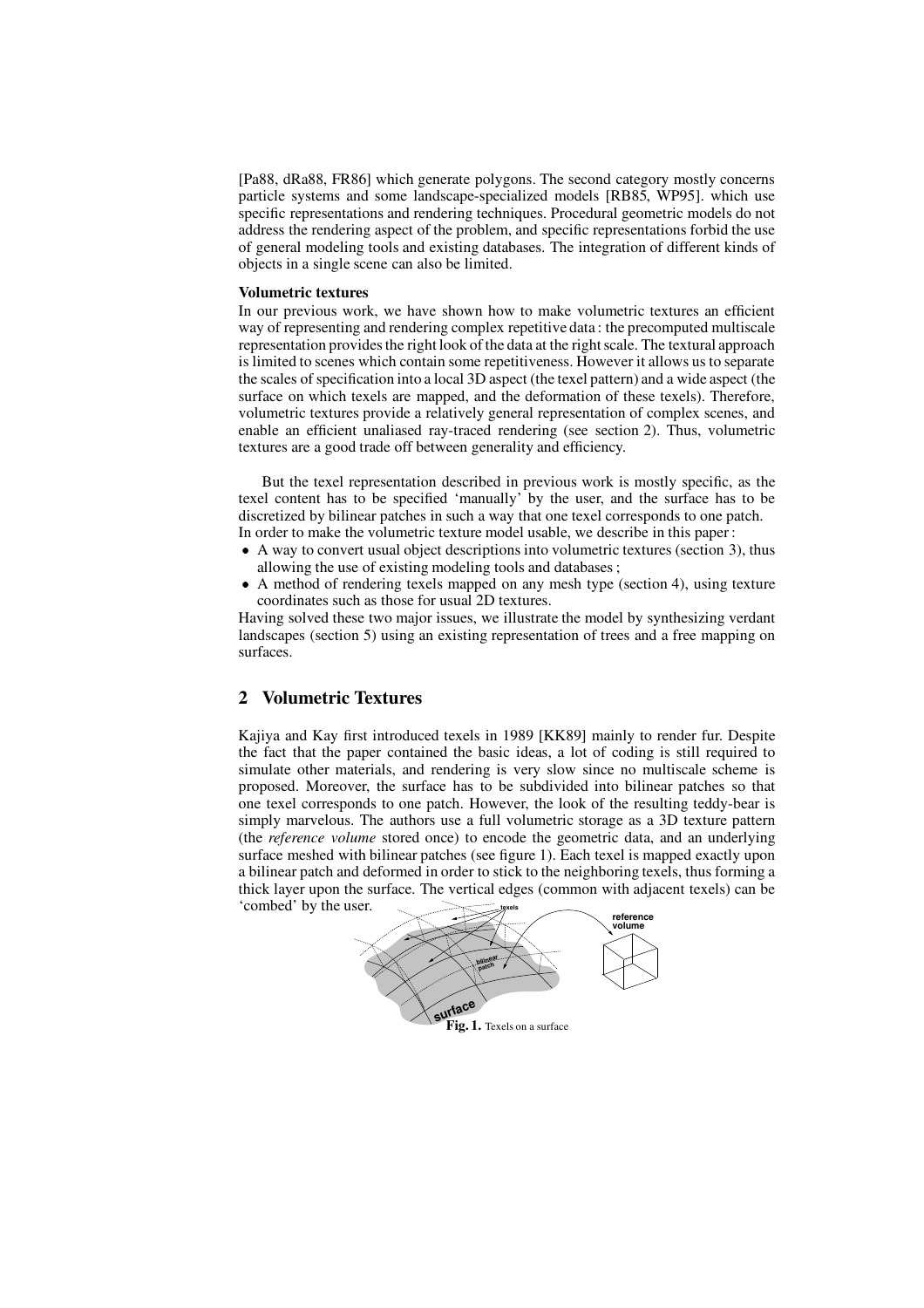[Pa88, dRa88, FR86] which generate polygons. The second category mostly concerns particle systems and some landscape-specialized models [RB85, WP95]. which use specific representations and rendering techniques. Procedural geometric models do not address the rendering aspect of the problem, and specific representations forbid the use of general modeling tools and existing databases. The integration of different kinds of objects in a single scene can also be limited.

#### **Volumetric textures**

In our previous work, we have shown how to make volumetric textures an efficient way of representing and rendering complex repetitive data : the precomputed multiscale representation provides the right look of the data at the right scale. The textural approach is limited to scenes which contain some repetitiveness. However it allows us to separate the scales of specification into a local 3D aspect (the texel pattern) and a wide aspect (the surface on which texels are mapped, and the deformation of these texels). Therefore, volumetric textures provide a relatively general representation of complex scenes, and enable an efficient unaliased ray-traced rendering (see section 2). Thus, volumetric textures are a good trade off between generality and efficiency.

But the texel representation described in previous work is mostly specific, as the texel content has to be specified 'manually' by the user, and the surface has to be discretized by bilinear patches in such a way that one texel corresponds to one patch. In order to make the volumetric texture model usable, we describe in this paper :

- A way to convert usual object descriptions into volumetric textures (section 3), thus allowing the use of existing modeling tools and databases ;
- A method of rendering texels mapped on any mesh type (section 4), using texture coordinates such as those for usual 2D textures.

Having solved these two major issues, we illustrate the model by synthesizing verdant landscapes (section 5) using an existing representation of trees and a free mapping on surfaces.

## **2 Volumetric Textures**

Kajiya and Kay first introduced texels in 1989 [KK89] mainly to render fur. Despite the fact that the paper contained the basic ideas, a lot of coding is still required to simulate other materials, and rendering is very slow since no multiscale scheme is proposed. Moreover, the surface has to be subdivided into bilinear patches so that one texel corresponds to one patch. However, the look of the resulting teddy-bear is simply marvelous. The authors use a full volumetric storage as a 3D texture pattern (the *reference volume* stored once) to encode the geometric data, and an underlying surface meshed with bilinear patches (see figure 1). Each texel is mapped exactly upon a bilinear patch and deformed in order to stick to the neighboring texels, thus forming a thick layer upon the surface. The vertical edges (common with adjacent texels) can be 'combed' by the user.

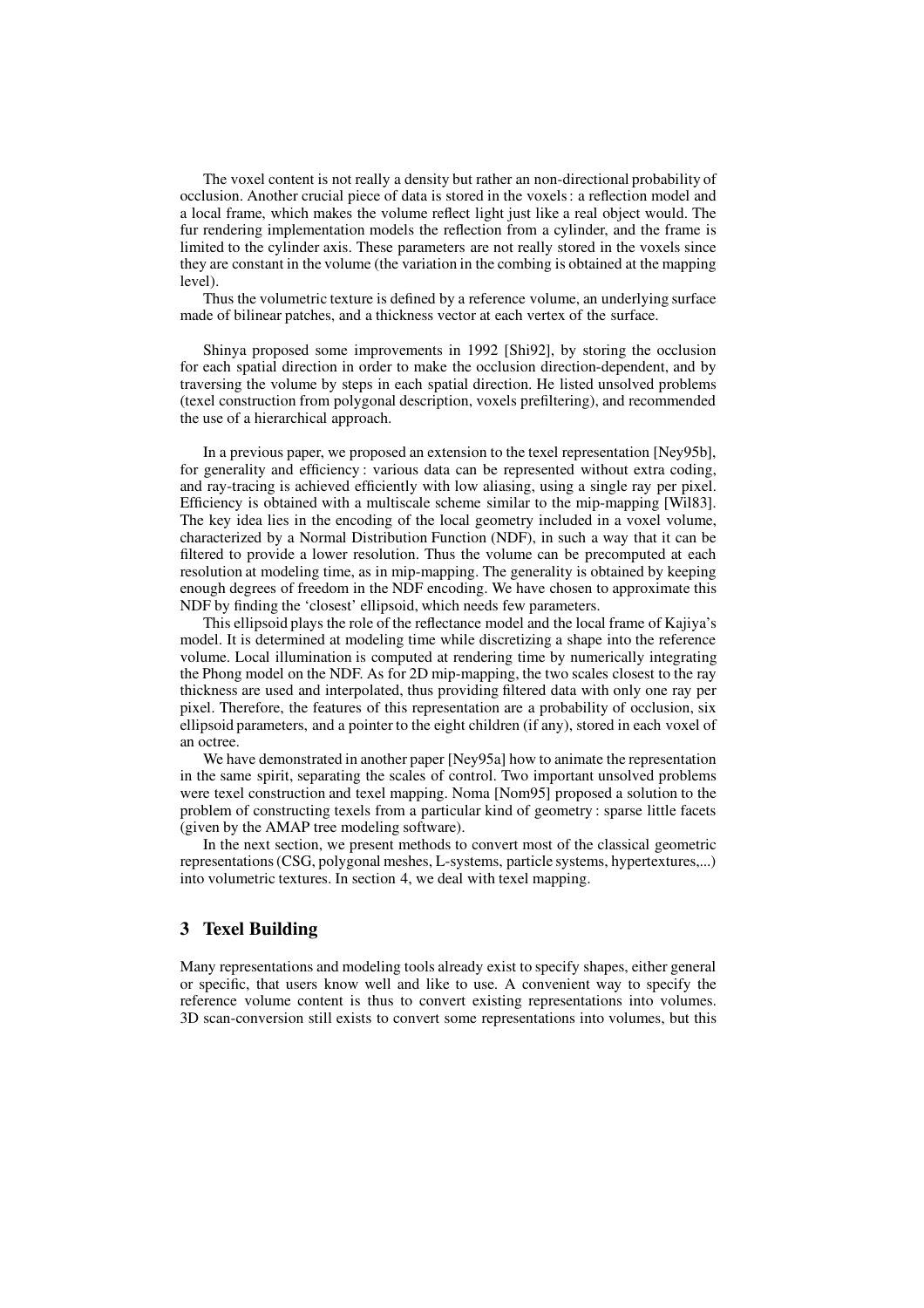The voxel content is not really a density but rather an non-directional probability of occlusion. Another crucial piece of data is stored in the voxels: a reflection model and a local frame, which makes the volume reflect light just like a real object would. The fur rendering implementation models the reflection from a cylinder, and the frame is limited to the cylinder axis. These parameters are not really stored in the voxels since they are constant in the volume (the variation in the combing is obtained at the mapping level).

Thus the volumetric texture is defined by a reference volume, an underlying surface made of bilinear patches, and a thickness vector at each vertex of the surface.

Shinya proposed some improvements in 1992 [Shi92], by storing the occlusion for each spatial direction in order to make the occlusion direction-dependent, and by traversing the volume by steps in each spatial direction. He listed unsolved problems (texel construction from polygonal description, voxels prefiltering), and recommended the use of a hierarchical approach.

In a previous paper, we proposed an extension to the texel representation [Ney95b], for generality and efficiency : various data can be represented without extra coding, and ray-tracing is achieved efficiently with low aliasing, using a single ray per pixel. Efficiency is obtained with a multiscale scheme similar to the mip-mapping [Wil83]. The key idea lies in the encoding of the local geometry included in a voxel volume, characterized by a Normal Distribution Function (NDF), in such a way that it can be filtered to provide a lower resolution. Thus the volume can be precomputed at each resolution at modeling time, as in mip-mapping. The generality is obtained by keeping enough degrees of freedom in the NDF encoding. We have chosen to approximate this NDF by finding the 'closest' ellipsoid, which needs few parameters.

This ellipsoid plays the role of the reflectance model and the local frame of Kajiya's model. It is determined at modeling time while discretizing a shape into the reference volume. Local illumination is computed at rendering time by numerically integrating the Phong model on the NDF. As for 2D mip-mapping, the two scales closest to the ray thickness are used and interpolated, thus providing filtered data with only one ray per pixel. Therefore, the features of this representation are a probability of occlusion, six ellipsoid parameters, and a pointer to the eight children (if any), stored in each voxel of an octree.

We have demonstrated in another paper [Ney 95a] how to animate the representation in the same spirit, separating the scales of control. Two important unsolved problems were texel construction and texel mapping. Noma [Nom95] proposed a solution to the problem of constructing texels from a particular kind of geometry : sparse little facets (given by the AMAP tree modeling software).

In the next section, we present methods to convert most of the classical geometric representations(CSG, polygonal meshes, L-systems, particle systems, hypertextures,...) into volumetric textures. In section 4, we deal with texel mapping.

## **3 Texel Building**

Many representations and modeling tools already exist to specify shapes, either general or specific, that users know well and like to use. A convenient way to specify the reference volume content is thus to convert existing representations into volumes. 3D scan-conversion still exists to convert some representations into volumes, but this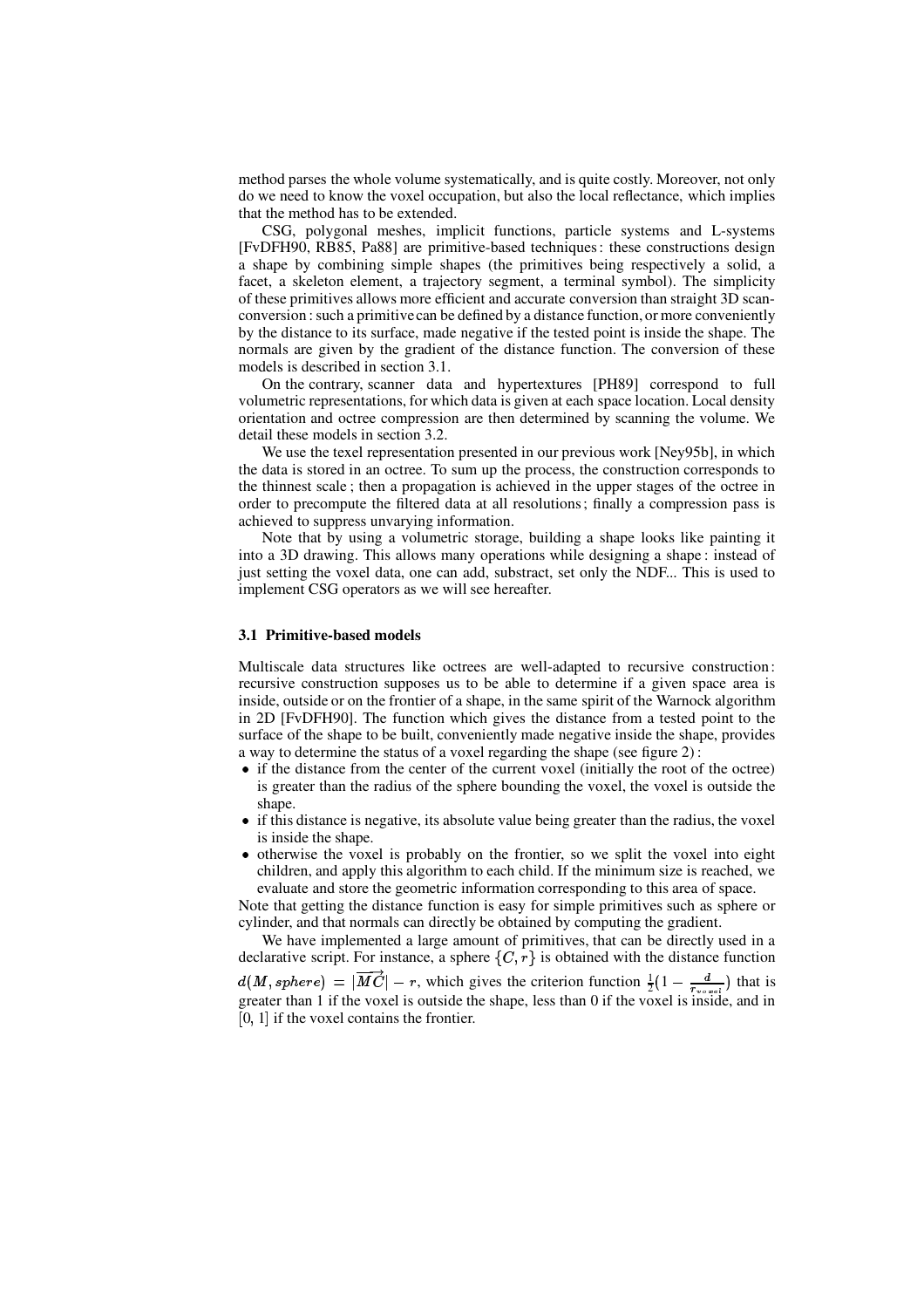method parses the whole volume systematically, and is quite costly. Moreover, not only do we need to know the voxel occupation, but also the local reflectance, which implies that the method has to be extended.

CSG, polygonal meshes, implicit functions, particle systems and L-systems [FvDFH90, RB85, Pa88] are primitive-based techniques: these constructions design a shape by combining simple shapes (the primitives being respectively a solid, a facet, a skeleton element, a trajectory segment, a terminal symbol). The simplicity of these primitives allows more efficient and accurate conversion than straight 3D scanconversion : such a primitive can be defined by a distance function, or more conveniently by the distance to its surface, made negative if the tested point is inside the shape. The normals are given by the gradient of the distance function. The conversion of these models is described in section 3.1.

On the contrary, scanner data and hypertextures [PH89] correspond to full volumetric representations, for which data is given at each space location. Local density orientation and octree compression are then determined by scanning the volume. We detail these models in section 3.2.

We use the texel representation presented in our previous work [Ney95b], in which the data is stored in an octree. To sum up the process, the construction corresponds to the thinnest scale ; then a propagation is achieved in the upper stages of the octree in order to precompute the filtered data at all resolutions; finally a compression pass is achieved to suppress unvarying information.

Note that by using a volumetric storage, building a shape looks like painting it into a 3D drawing. This allows many operations while designing a shape : instead of just setting the voxel data, one can add, substract, set only the NDF... This is used to implement CSG operators as we will see hereafter.

#### **3.1 Primitive-based models**

Multiscale data structures like octrees are well-adapted to recursive construction: recursive construction supposes us to be able to determine if a given space area is inside, outside or on the frontier of a shape, in the same spirit of the Warnock algorithm in 2D [FvDFH90]. The function which gives the distance from a tested point to the surface of the shape to be built, conveniently made negative inside the shape, provides a way to determine the status of a voxel regarding the shape (see figure 2) :

- if the distance from the center of the current voxel (initially the root of the octree) is greater than the radius of the sphere bounding the voxel, the voxel is outside the shape.
- if this distance is negative, its absolute value being greater than the radius, the voxel is inside the shape.
- otherwise the voxel is probably on the frontier, so we split the voxel into eight children, and apply this algorithm to each child. If the minimum size is reached, we evaluate and store the geometric information corresponding to this area of space.

Note that getting the distance function is easy for simple primitives such as sphere or cylinder, and that normals can directly be obtained by computing the gradient.

We have implemented a large amount of primitives, that can be directly used in a declarative script. For instance, a sphere  $\{C, r\}$  is obtained with the distance function

 $d(M, sphere) = |\overline{MC}| - r$ , which gives the criterion function  $\frac{1}{2}(1 - \frac{d}{r_{vosel}})$  that is greater than 1 if the voxel is outside the shape, less than 0 if the voxel is inside, and in  $[0, 1]$  if the voxel contains the frontier.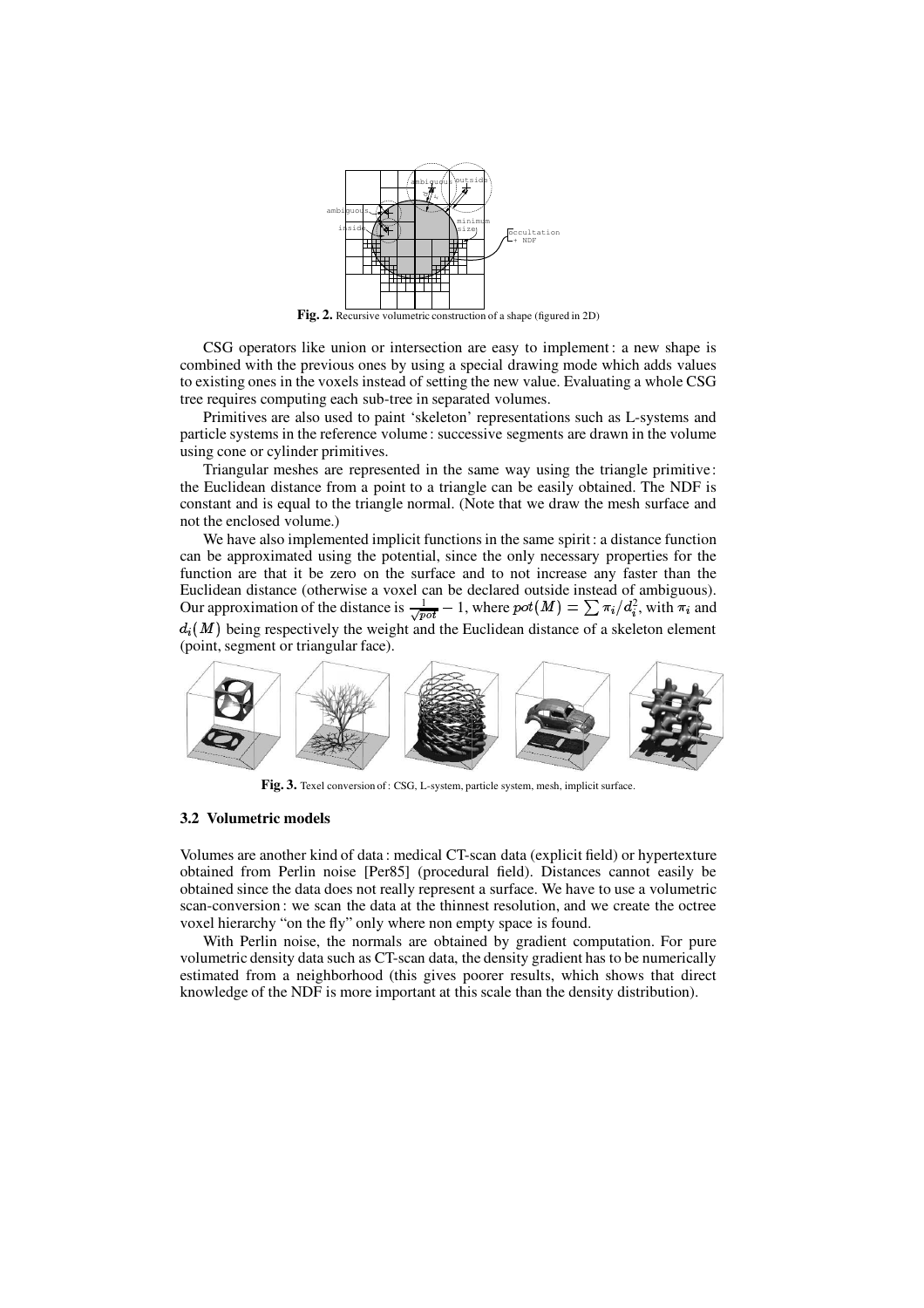

**Fig. 2.** Recursive volumetric construction of a shape (figured in 2D)

CSG operators like union or intersection are easy to implement : a new shape is combined with the previous ones by using a special drawing mode which adds values to existing ones in the voxels instead of setting the new value. Evaluating a whole CSG tree requires computing each sub-tree in separated volumes.

Primitives are also used to paint 'skeleton' representations such as L-systems and particle systems in the reference volume : successive segments are drawn in the volume using cone or cylinder primitives.

Triangular meshes are represented in the same way using the triangle primitive : the Euclidean distance from a point to a triangle can be easily obtained. The NDF is constant and is equal to the triangle normal. (Note that we draw the mesh surface and not the enclosed volume.)

We have also implemented implicit functions in the same spirit: a distance function can be approximated using the potential, since the only necessary properties for the function are that it be zero on the surface and to not increase any faster than the Euclidean distance (otherwise a voxel can be declared outside instead of ambiguous). Our approximation of the distance is  $\frac{1}{\sqrt{n\omega t}} - 1$ , where  $pot(M) = \sum \pi_i/d_i^2$ , with  $\pi_i$  and  $d_i(M)$  being respectively the weight and the Euclidean distance of a skeleton element (point, segment or triangular face).



**Fig. 3.** Texel conversion of: CSG, L-system, particle system, mesh, implicit surface.

#### **3.2 Volumetric models**

Volumes are another kind of data : medical CT-scan data (explicit field) or hypertexture obtained from Perlin noise [Per85] (procedural field). Distances cannot easily be obtained since the data does not really represent a surface. We have to use a volumetric scan-conversion : we scan the data at the thinnest resolution, and we create the octree voxel hierarchy "on the fly" only where non empty space is found.

With Perlin noise, the normals are obtained by gradient computation. For pure volumetric density data such as CT-scan data, the density gradient has to be numerically estimated from a neighborhood (this gives poorer results, which shows that direct knowledge of the NDF is more important at this scale than the density distribution).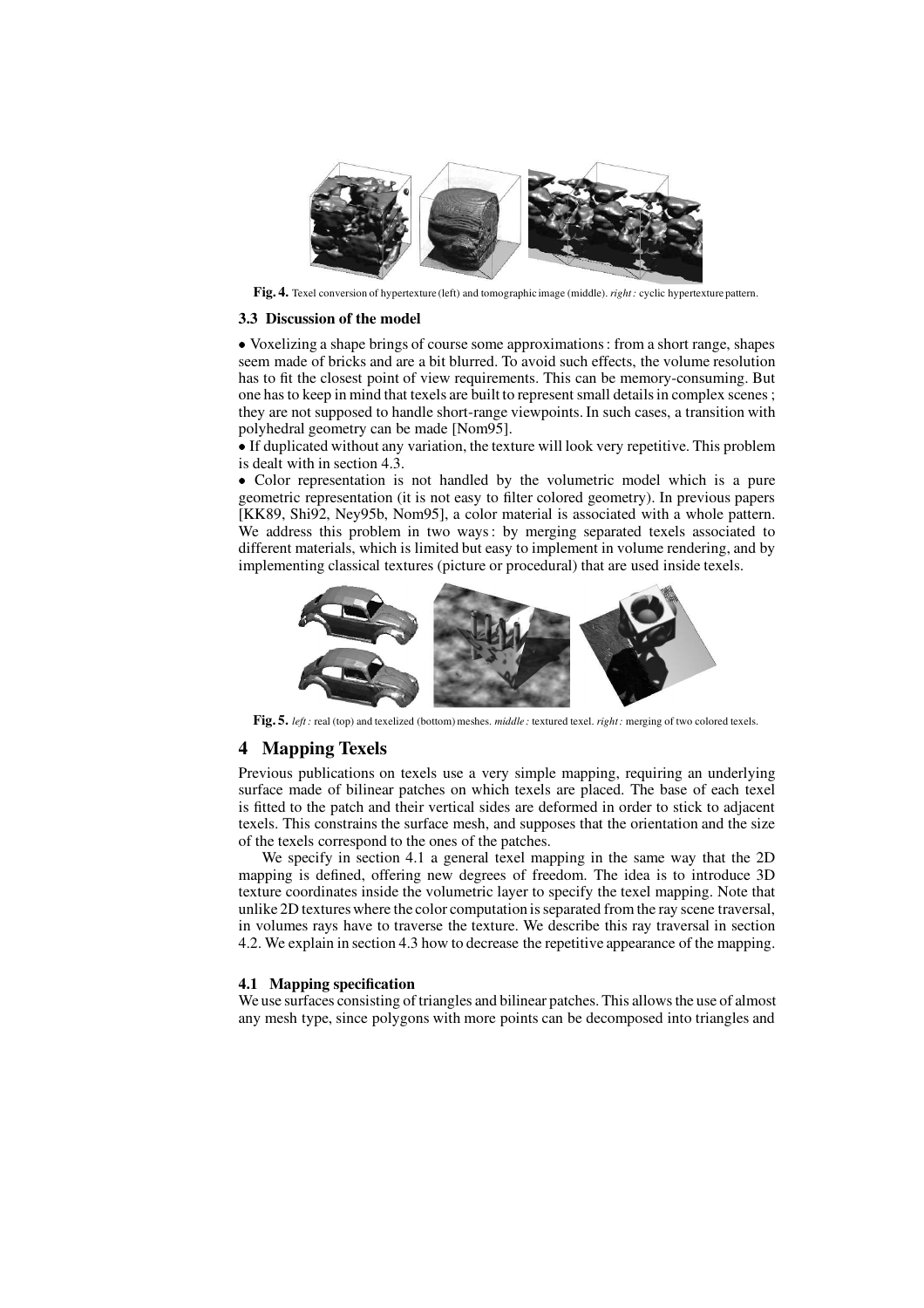

**Fig. 4.** Texel conversion of hypertexture (left) and tomographic image (middle). *right:* cyclic hypertexture pattern.

#### **3.3 Discussion of the model**

 Voxelizing a shape brings of course some approximations: from a short range, shapes seem made of bricks and are a bit blurred. To avoid such effects, the volume resolution has to fit the closest point of view requirements. This can be memory-consuming. But one has to keep in mind that texels are built to represent small detailsin complex scenes ; they are not supposed to handle short-range viewpoints. In such cases, a transition with polyhedral geometry can be made [Nom95].

 If duplicated without any variation, the texture will look very repetitive. This problem is dealt with in section 4.3.

 Color representation is not handled by the volumetric model which is a pure geometric representation (it is not easy to filter colored geometry). In previous papers [KK89, Shi92, Ney95b, Nom95], a color material is associated with a whole pattern. We address this problem in two ways: by merging separated texels associated to different materials, which is limited but easy to implement in volume rendering, and by implementing classical textures (picture or procedural) that are used inside texels.



Fig. 5. *left* : real (top) and texelized (bottom) meshes. *middle* : textured texel. *right* : merging of two colored texels.

# **4 Mapping Texels**

Previous publications on texels use a very simple mapping, requiring an underlying surface made of bilinear patches on which texels are placed. The base of each texel is fitted to the patch and their vertical sides are deformed in order to stick to adjacent texels. This constrains the surface mesh, and supposes that the orientation and the size of the texels correspond to the ones of the patches.

We specify in section 4.1 a general texel mapping in the same way that the 2D mapping is defined, offering new degrees of freedom. The idea is to introduce 3D texture coordinates inside the volumetric layer to specify the texel mapping. Note that unlike 2D textures where the color computation is separated from the ray scene traversal, in volumes rays have to traverse the texture. We describe this ray traversal in section 4.2. We explain in section 4.3 how to decrease the repetitive appearance of the mapping.

#### **4.1 Mapping specification**

We use surfaces consisting of triangles and bilinear patches. This allows the use of almost any mesh type, since polygons with more points can be decomposed into triangles and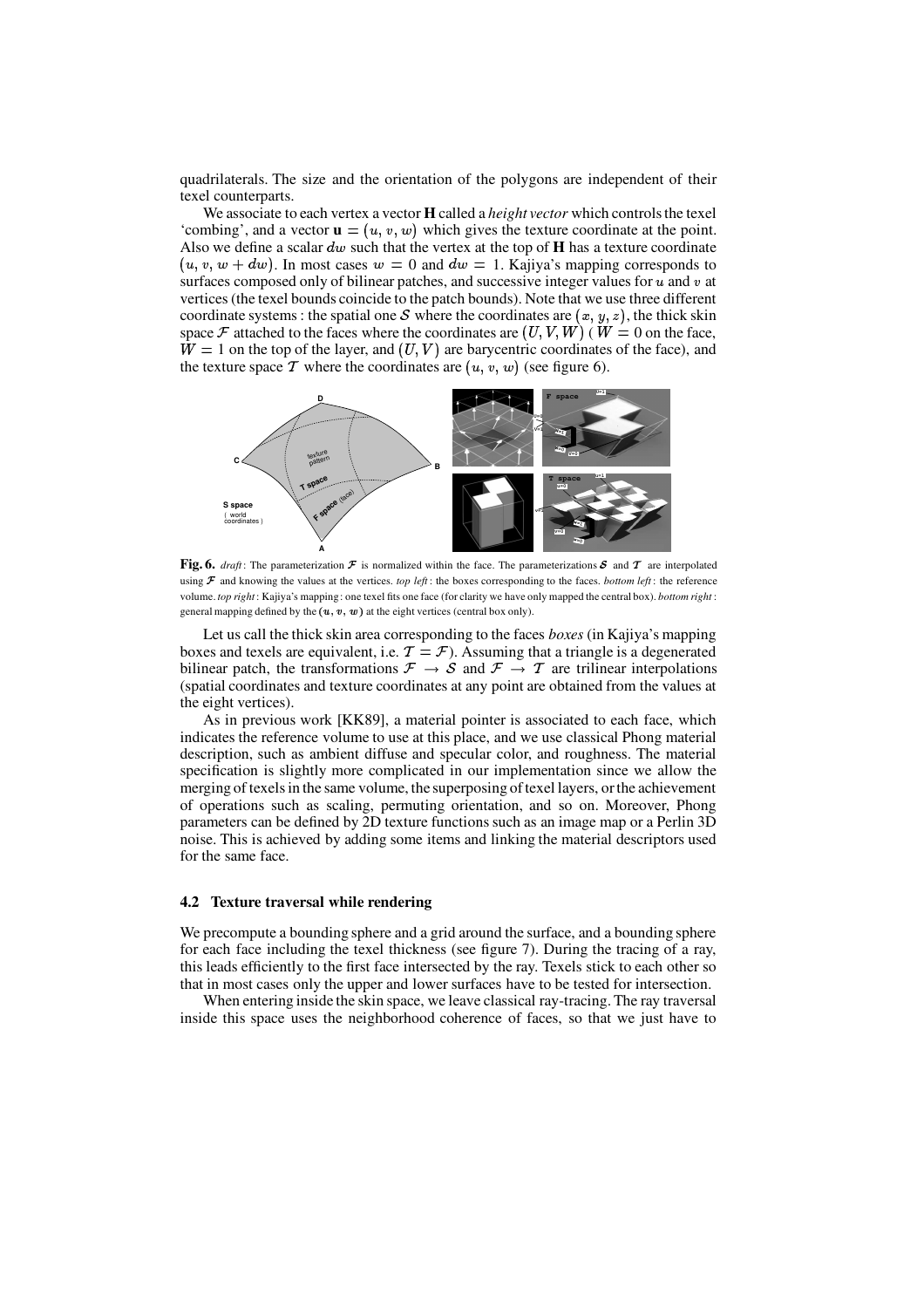quadrilaterals. The size and the orientation of the polygons are independent of their texel counterparts.

We associate to each vertex a vector **H** called a *height vector* which controlsthe texel 'combing', and a vector  $\mathbf{u} = (u, v, w)$  which gives the texture coordinate at the point. Also we define a scalar  $dw$  such that the vertex at the top of  $H$  has a texture coordinate  $(u, v, w + dw)$ . In most cases  $w = 0$  and  $dw = 1$ . Kajiya's mapping corresponds to surfaces composed only of bilinear patches, and successive integer values for  $u$  and  $v$  at vertices (the texel bounds coincide to the patch bounds). Note that we use three different coordinate systems : the spatial one S where the coordinates are  $(x, y, z)$ , the thick skin space  $\mathcal F$  attached to the faces where the coordinates are  $(U, V, W)$  (  $W = 0$  on the face,  $W = 1$  on the top of the layer, and  $(U, V)$  are barycentric coordinates of the face), and the texture space T where the coordinates are  $(u, v, w)$  (see figure 6).



Fig. 6. *draft*: The parameterization  $\mathcal F$  is normalized within the face. The parameterizations  $\mathcal S$  and  $\mathcal T$  are interpolated using  $\mathcal F$  and knowing the values at the vertices. *top left* : the boxes corresponding to the faces. *bottom left* : the reference volume. *top right* : Kajiya's mapping: one texel fits one face (for clarity we have only mapped the central box). *bottom right* : general mapping defined by the  $(u, v, w)$  at the eight vertices (central box only).

Let us call the thick skin area corresponding to the faces *boxes* (in Kajiya's mapping boxes and texels are equivalent, i.e.  $\mathcal{T} = \mathcal{F}$ ). Assuming that a triangle is a degenerated bilinear patch, the transformations  $\mathcal{F} \to \mathcal{S}$  and  $\mathcal{F} \to \mathcal{T}$  are trilinear interpolations (spatial coordinates and texture coordinates at any point are obtained from the values at the eight vertices).

As in previous work [KK89], a material pointer is associated to each face, which indicates the reference volume to use at this place, and we use classical Phong material description, such as ambient diffuse and specular color, and roughness. The material specification is slightly more complicated in our implementation since we allow the merging of texelsin the same volume, the superposing oftexel layers, orthe achievement of operations such as scaling, permuting orientation, and so on. Moreover, Phong parameters can be defined by 2D texture functions such as an image map or a Perlin 3D noise. This is achieved by adding some items and linking the material descriptors used for the same face.

#### **4.2 Texture traversal while rendering**

We precompute a bounding sphere and a grid around the surface, and a bounding sphere for each face including the texel thickness (see figure 7). During the tracing of a ray, this leads efficiently to the first face intersected by the ray. Texels stick to each other so that in most cases only the upper and lower surfaces have to be tested for intersection.

When entering inside the skin space, we leave classical ray-tracing. The ray traversal inside this space uses the neighborhood coherence of faces, so that we just have to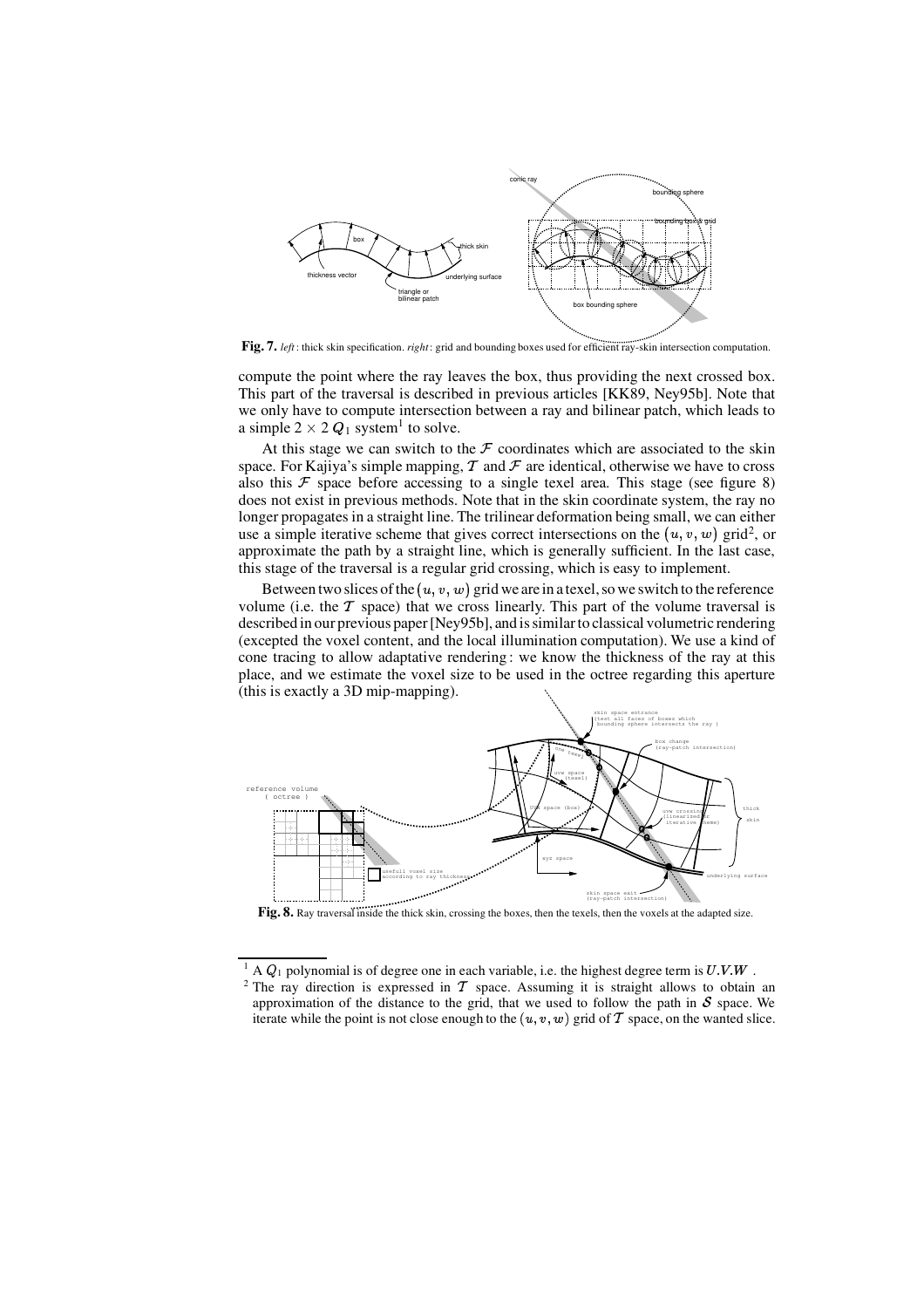

**Fig. 7.** *left* : thick skin specification. *right* : grid and bounding boxes used for efficient ray-skin intersection computation.

compute the point where the ray leaves the box, thus providing the next crossed box. This part of the traversal is described in previous articles [KK89, Ney95b]. Note that we only have to compute intersection between a ray and bilinear patch, which leads to a simple 2  $\times$  2  $Q_1$  system<sup>1</sup> to solve.

At this stage we can switch to the  $\mathcal F$  coordinates which are associated to the skin space. For Kajiya's simple mapping,  $\mathcal T$  and  $\mathcal F$  are identical, otherwise we have to cross also this  $\mathcal F$  space before accessing to a single texel area. This stage (see figure 8) does not exist in previous methods. Note that in the skin coordinate system, the ray no longer propagates in a straight line. The trilinear deformation being small, we can either use a simple iterative scheme that gives correct intersections on the  $(u, v, w)$  grid<sup>2</sup>, or approximate the path by a straight line, which is generally sufficient. In the last case, this stage of the traversal is a regular grid crossing, which is easy to implement.

Between two slices of the  $(u, v, w)$  grid we are in a texel, so we switch to the reference volume (i.e. the  $T$  space) that we cross linearly. This part of the volume traversal is described in our previous paper[Ney95b], and issimilarto classical volumetric rendering (excepted the voxel content, and the local illumination computation). We use a kind of cone tracing to allow adaptative rendering : we know the thickness of the ray at this place, and we estimate the voxel size to be used in the octree regarding this aperture (this is exactly a 3D mip-mapping).



**Fig. 8.** Ray traversal inside the thick skin, crossing the boxes, then the texels, then the voxels at the adapted size.

A  $Q_1$  polynomial is of degree one in each variable, i.e. the highest degree term is  $U.V.W$ .

<sup>&</sup>lt;sup>2</sup> The ray direction is expressed in  $\mathcal T$  space. Assuming it is straight allows to obtain an approximation of the distance to the grid, that we used to follow the path in  $\mathcal S$  space. We iterate while the point is not close enough to the  $(u, v, w)$  grid of  $T$  space, on the wanted slice.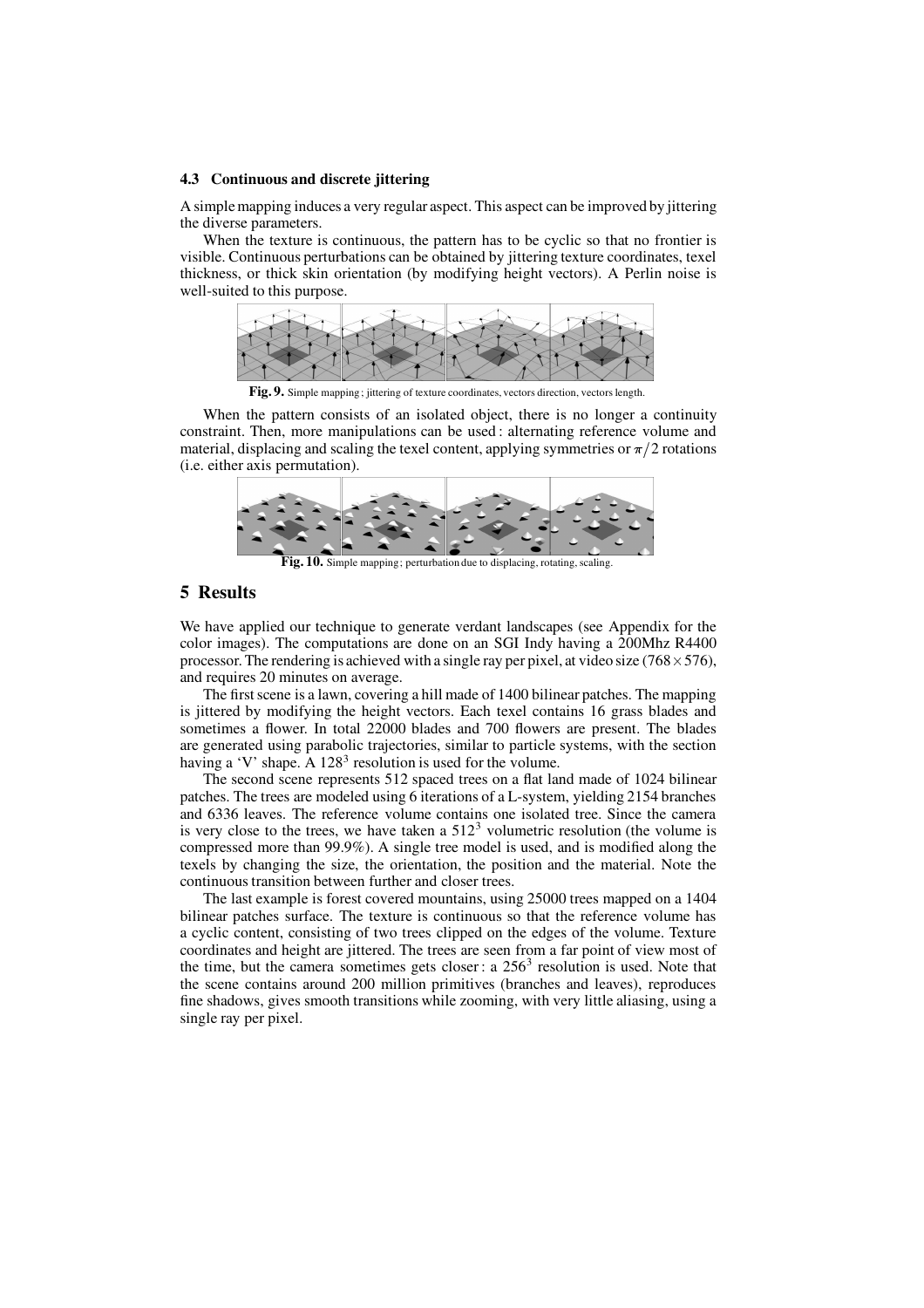### **4.3 Continuous and discrete jittering**

A simplemapping induces a very regular aspect. This aspect can be improved by jittering the diverse parameters.

When the texture is continuous, the pattern has to be cyclic so that no frontier is visible. Continuous perturbations can be obtained by jittering texture coordinates, texel thickness, or thick skin orientation (by modifying height vectors). A Perlin noise is well-suited to this purpose.



**Fig. 9.** Simple mapping; jittering of texture coordinates, vectors direction, vectors length.

When the pattern consists of an isolated object, there is no longer a continuity constraint. Then, more manipulations can be used : alternating reference volume and material, displacing and scaling the texel content, applying symmetries or  $\pi/2$  rotations (i.e. either axis permutation).



**Fig. 10.** Simple mapping; perturbation due to displacing, rotating, scaling.

## **5 Results**

We have applied our technique to generate verdant landscapes (see Appendix for the color images). The computations are done on an SGI Indy having a 200Mhz R4400 processor. The rendering is achieved with a single ray per pixel, at video size (768  $\times$  576), and requires 20 minutes on average.

The first scene is a lawn, covering a hill made of 1400 bilinear patches. The mapping is jittered by modifying the height vectors. Each texel contains 16 grass blades and sometimes a flower. In total 22000 blades and 700 flowers are present. The blades are generated using parabolic trajectories, similar to particle systems, with the section having a 'V' shape. A 128<sup>3</sup> resolution is used for the volume.

The second scene represents 512 spaced trees on a flat land made of 1024 bilinear patches. The trees are modeled using 6 iterations of a L-system, yielding 2154 branches and 6336 leaves. The reference volume contains one isolated tree. Since the camera is very close to the trees, we have taken a  $512<sup>3</sup>$  volumetric resolution (the volume is compressed more than 99.9%). A single tree model is used, and is modified along the texels by changing the size, the orientation, the position and the material. Note the continuous transition between further and closer trees.

The last example is forest covered mountains, using 25000 trees mapped on a 1404 bilinear patches surface. The texture is continuous so that the reference volume has a cyclic content, consisting of two trees clipped on the edges of the volume. Texture coordinates and height are jittered. The trees are seen from a far point of view most of the time, but the camera sometimes gets closer: a  $256<sup>3</sup>$  resolution is used. Note that the scene contains around 200 million primitives (branches and leaves), reproduces fine shadows, gives smooth transitions while zooming, with very little aliasing, using a single ray per pixel.